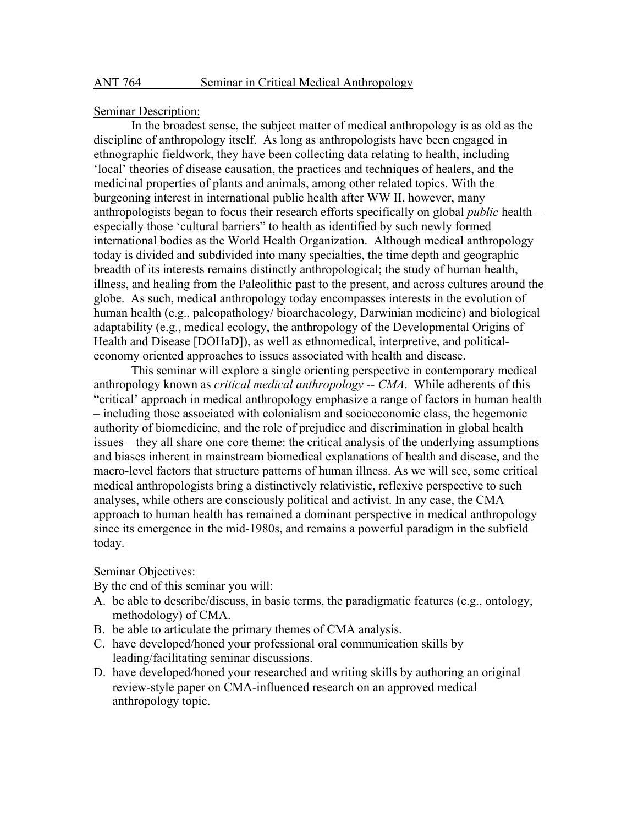## Seminar Description:

In the broadest sense, the subject matter of medical anthropology is as old as the discipline of anthropology itself. As long as anthropologists have been engaged in ethnographic fieldwork, they have been collecting data relating to health, including 'local' theories of disease causation, the practices and techniques of healers, and the medicinal properties of plants and animals, among other related topics. With the burgeoning interest in international public health after WW II, however, many anthropologists began to focus their research efforts specifically on global *public* health – especially those 'cultural barriers" to health as identified by such newly formed international bodies as the World Health Organization. Although medical anthropology today is divided and subdivided into many specialties, the time depth and geographic breadth of its interests remains distinctly anthropological; the study of human health, illness, and healing from the Paleolithic past to the present, and across cultures around the globe. As such, medical anthropology today encompasses interests in the evolution of human health (e.g., paleopathology/ bioarchaeology, Darwinian medicine) and biological adaptability (e.g., medical ecology, the anthropology of the Developmental Origins of Health and Disease [DOHaD]), as well as ethnomedical, interpretive, and politicaleconomy oriented approaches to issues associated with health and disease.

This seminar will explore a single orienting perspective in contemporary medical anthropology known as *critical medical anthropology -- CMA*. While adherents of this "critical' approach in medical anthropology emphasize a range of factors in human health – including those associated with colonialism and socioeconomic class, the hegemonic authority of biomedicine, and the role of prejudice and discrimination in global health issues – they all share one core theme: the critical analysis of the underlying assumptions and biases inherent in mainstream biomedical explanations of health and disease, and the macro-level factors that structure patterns of human illness. As we will see, some critical medical anthropologists bring a distinctively relativistic, reflexive perspective to such analyses, while others are consciously political and activist. In any case, the CMA approach to human health has remained a dominant perspective in medical anthropology since its emergence in the mid-1980s, and remains a powerful paradigm in the subfield today.

### Seminar Objectives:

By the end of this seminar you will:

- A. be able to describe/discuss, in basic terms, the paradigmatic features (e.g., ontology, methodology) of CMA.
- B. be able to articulate the primary themes of CMA analysis.
- C. have developed/honed your professional oral communication skills by leading/facilitating seminar discussions.
- D. have developed/honed your researched and writing skills by authoring an original review-style paper on CMA-influenced research on an approved medical anthropology topic.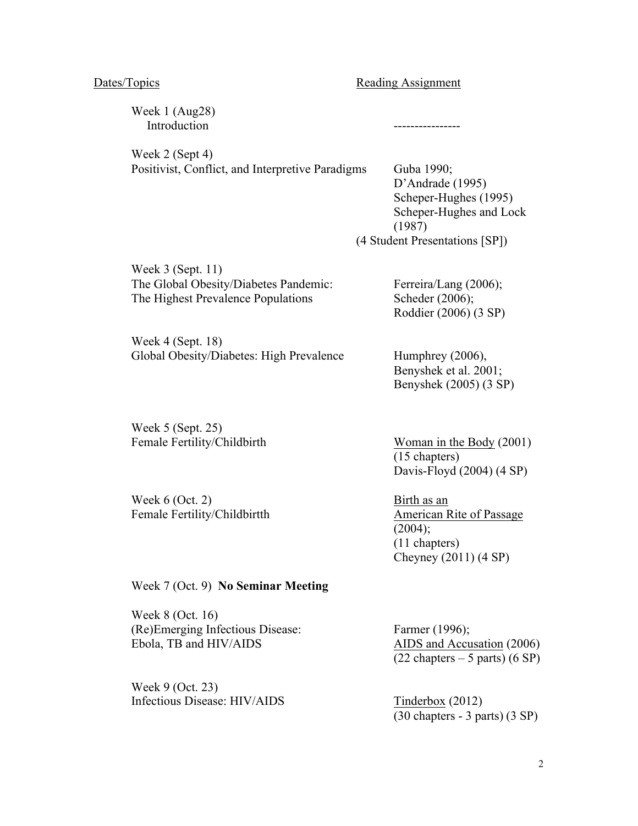Dates/Topics Reading Assignment

Week 1 (Aug28) Introduction ---------------- Week 2 (Sept 4) Positivist, Conflict, and Interpretive Paradigms Guba 1990; D'Andrade (1995) Scheper-Hughes (1995) Scheper-Hughes and Lock (1987) (4 Student Presentations [SP]) Week 3 (Sept. 11) The Global Obesity/Diabetes Pandemic: Ferreira/Lang (2006); The Highest Prevalence Populations Scheder (2006);

Week 4 (Sept. 18) Global Obesity/Diabetes: High Prevalence Humphrey (2006),

Week 5 (Sept. 25) Female Fertility/Childbirth Woman in the Body (2001)

Week 6 (Oct. 2) Birth as an Female Fertility/Childbirtth American Rite of Passage

Benyshek et al. 2001; Benyshek (2005) (3 SP)

Roddier (2006) (3 SP)

(15 chapters) Davis-Floyd (2004) (4 SP)

 $(2004);$ (11 chapters) Cheyney (2011) (4 SP)

Week 7 (Oct. 9) **No Seminar Meeting**

Week 8 (Oct. 16) (Re)Emerging Infectious Disease: Farmer (1996); Ebola, TB and HIV/AIDS AIDS and Accusation (2006)

Week 9 (Oct. 23) Infectious Disease: HIV/AIDS Tinderbox (2012)

 $(22 \text{ chapters} - 5 \text{ parts}) (6 \text{ SP})$ 

(30 chapters - 3 parts) (3 SP)

2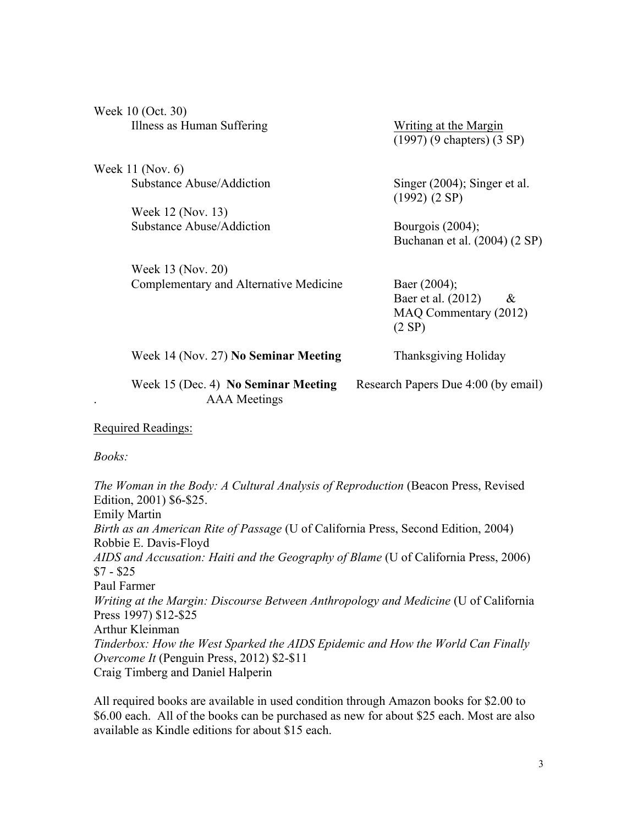| Week 10 (Oct. 30)                      |                                                                 |
|----------------------------------------|-----------------------------------------------------------------|
| Illness as Human Suffering             | Writing at the Margin<br>$(1997)$ (9 chapters) $(3 \text{ SP})$ |
| Week 11 (Nov. 6)                       |                                                                 |
| Substance Abuse/Addiction              | Singer (2004); Singer et al.<br>(1992) (2 SP)                   |
| Week 12 (Nov. 13)                      |                                                                 |
| Substance Abuse/Addiction              | Bourgois $(2004)$ ;                                             |
|                                        | Buchanan et al. (2004) (2 SP)                                   |
| Week 13 (Nov. 20)                      |                                                                 |
| Complementary and Alternative Medicine | Baer $(2004)$ ;                                                 |
|                                        | Baer et al. (2012)<br>$\&$                                      |
|                                        | MAQ Commentary (2012)                                           |
|                                        | (2 SP)                                                          |
| Week 14 (Nov. 27) No Seminar Meeting   | Thanksgiving Holiday                                            |
| Week 15 (Dec. 4) No Seminar Meeting    | Research Papers Due 4:00 (by email)                             |

Required Readings:

. AAA Meetings

*Books:*

*The Woman in the Body: A Cultural Analysis of Reproduction* (Beacon Press, Revised Edition, 2001) \$6-\$25. Emily Martin *Birth as an American Rite of Passage* (U of California Press, Second Edition, 2004) Robbie E. Davis-Floyd *AIDS and Accusation: Haiti and the Geography of Blame* (U of California Press, 2006) \$7 - \$25 Paul Farmer *Writing at the Margin: Discourse Between Anthropology and Medicine* (U of California Press 1997) \$12-\$25 Arthur Kleinman *Tinderbox: How the West Sparked the AIDS Epidemic and How the World Can Finally Overcome It* (Penguin Press, 2012) \$2-\$11 Craig Timberg and Daniel Halperin

All required books are available in used condition through Amazon books for \$2.00 to \$6.00 each. All of the books can be purchased as new for about \$25 each. Most are also available as Kindle editions for about \$15 each.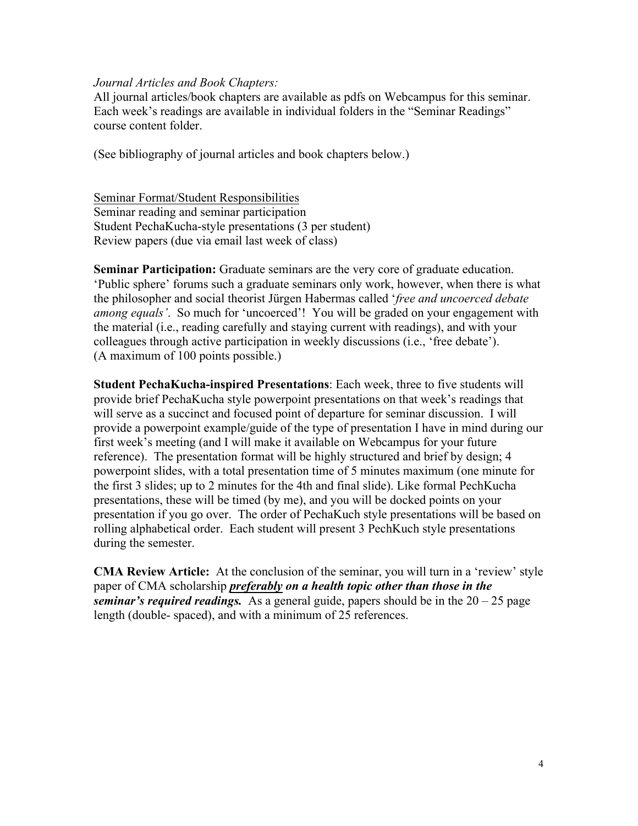## *Journal Articles and Book Chapters:*

All journal articles/book chapters are available as pdfs on Webcampus for this seminar. Each week's readings are available in individual folders in the "Seminar Readings" course content folder.

(See bibliography of journal articles and book chapters below.)

Seminar Format/Student Responsibilities Seminar reading and seminar participation Student PechaKucha-style presentations (3 per student) Review papers (due via email last week of class)

**Seminar Participation:** Graduate seminars are the very core of graduate education. 'Public sphere' forums such a graduate seminars only work, however, when there is what the philosopher and social theorist Jürgen Habermas called '*free and uncoerced debate among equals'*. So much for 'uncoerced'! You will be graded on your engagement with the material (i.e., reading carefully and staying current with readings), and with your colleagues through active participation in weekly discussions (i.e., 'free debate'). (A maximum of 100 points possible.)

**Student PechaKucha-inspired Presentations**: Each week, three to five students will provide brief PechaKucha style powerpoint presentations on that week's readings that will serve as a succinct and focused point of departure for seminar discussion. I will provide a powerpoint example/guide of the type of presentation I have in mind during our first week's meeting (and I will make it available on Webcampus for your future reference). The presentation format will be highly structured and brief by design; 4 powerpoint slides, with a total presentation time of 5 minutes maximum (one minute for the first 3 slides; up to 2 minutes for the 4th and final slide). Like formal PechKucha presentations, these will be timed (by me), and you will be docked points on your presentation if you go over. The order of PechaKuch style presentations will be based on rolling alphabetical order. Each student will present 3 PechKuch style presentations during the semester.

**CMA Review Article:** At the conclusion of the seminar, you will turn in a 'review' style paper of CMA scholarship *preferably on a health topic other than those in the seminar's required readings.* As a general guide, papers should be in the 20 – 25 page length (double- spaced), and with a minimum of 25 references.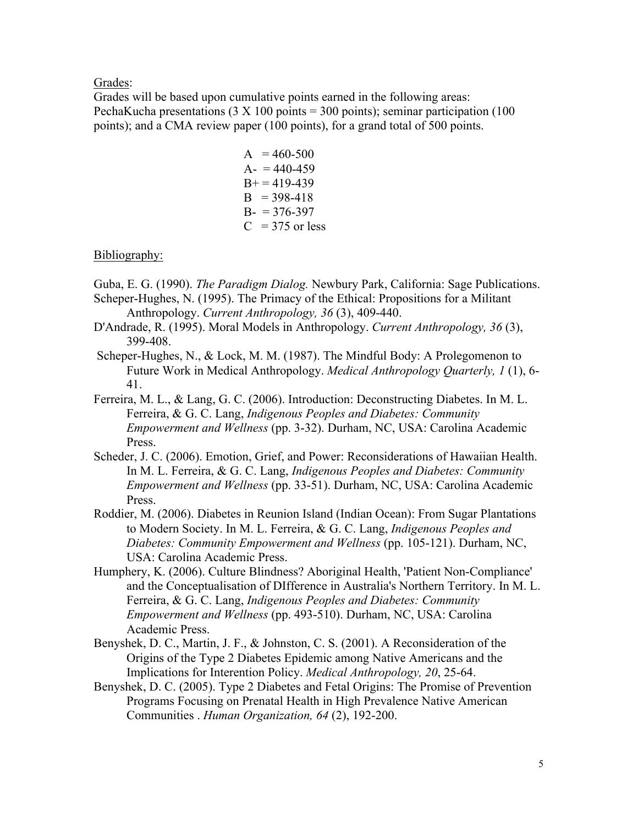Grades:

Grades will be based upon cumulative points earned in the following areas: PechaKucha presentations  $(3 \times 100 \text{ points} = 300 \text{ points})$ ; seminar participation  $(100 \text{ points})$ points); and a CMA review paper (100 points), for a grand total of 500 points.

> $A = 460-500$  $A- 440-459$  $B+=419-439$  $B = 398-418$  $B = 376-397$  $C = 375$  or less

# Bibliography:

Guba, E. G. (1990). *The Paradigm Dialog.* Newbury Park, California: Sage Publications.

- Scheper-Hughes, N. (1995). The Primacy of the Ethical: Propositions for a Militant Anthropology. *Current Anthropology, 36* (3), 409-440.
- D'Andrade, R. (1995). Moral Models in Anthropology. *Current Anthropology, 36* (3), 399-408.
- Scheper-Hughes, N., & Lock, M. M. (1987). The Mindful Body: A Prolegomenon to Future Work in Medical Anthropology. *Medical Anthropology Quarterly, 1* (1), 6- 41.
- Ferreira, M. L., & Lang, G. C. (2006). Introduction: Deconstructing Diabetes. In M. L. Ferreira, & G. C. Lang, *Indigenous Peoples and Diabetes: Community Empowerment and Wellness* (pp. 3-32). Durham, NC, USA: Carolina Academic Press.
- Scheder, J. C. (2006). Emotion, Grief, and Power: Reconsiderations of Hawaiian Health. In M. L. Ferreira, & G. C. Lang, *Indigenous Peoples and Diabetes: Community Empowerment and Wellness* (pp. 33-51). Durham, NC, USA: Carolina Academic Press.
- Roddier, M. (2006). Diabetes in Reunion Island (Indian Ocean): From Sugar Plantations to Modern Society. In M. L. Ferreira, & G. C. Lang, *Indigenous Peoples and Diabetes: Community Empowerment and Wellness* (pp. 105-121). Durham, NC, USA: Carolina Academic Press.
- Humphery, K. (2006). Culture Blindness? Aboriginal Health, 'Patient Non-Compliance' and the Conceptualisation of DIfference in Australia's Northern Territory. In M. L. Ferreira, & G. C. Lang, *Indigenous Peoples and Diabetes: Community Empowerment and Wellness* (pp. 493-510). Durham, NC, USA: Carolina Academic Press.
- Benyshek, D. C., Martin, J. F., & Johnston, C. S. (2001). A Reconsideration of the Origins of the Type 2 Diabetes Epidemic among Native Americans and the Implications for Interention Policy. *Medical Anthropology, 20*, 25-64.
- Benyshek, D. C. (2005). Type 2 Diabetes and Fetal Origins: The Promise of Prevention Programs Focusing on Prenatal Health in High Prevalence Native American Communities . *Human Organization, 64* (2), 192-200.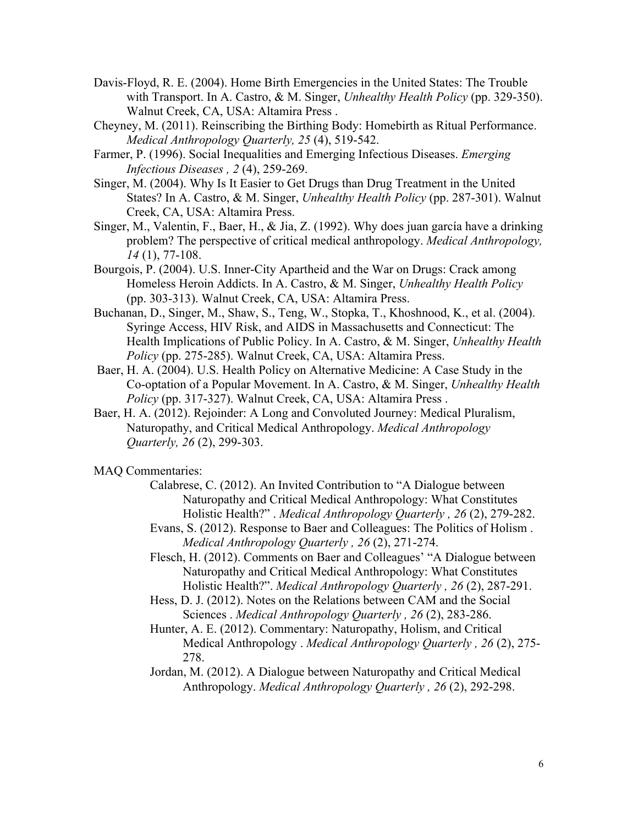- Davis-Floyd, R. E. (2004). Home Birth Emergencies in the United States: The Trouble with Transport. In A. Castro, & M. Singer, *Unhealthy Health Policy* (pp. 329-350). Walnut Creek, CA, USA: Altamira Press .
- Cheyney, M. (2011). Reinscribing the Birthing Body: Homebirth as Ritual Performance. *Medical Anthropology Quarterly, 25* (4), 519-542.
- Farmer, P. (1996). Social Inequalities and Emerging Infectious Diseases. *Emerging Infectious Diseases , 2* (4), 259-269.
- Singer, M. (2004). Why Is It Easier to Get Drugs than Drug Treatment in the United States? In A. Castro, & M. Singer, *Unhealthy Health Policy* (pp. 287-301). Walnut Creek, CA, USA: Altamira Press.
- Singer, M., Valentin, F., Baer, H., & Jia, Z. (1992). Why does juan garcía have a drinking problem? The perspective of critical medical anthropology. *Medical Anthropology, 14* (1), 77-108.
- Bourgois, P. (2004). U.S. Inner-City Apartheid and the War on Drugs: Crack among Homeless Heroin Addicts. In A. Castro, & M. Singer, *Unhealthy Health Policy* (pp. 303-313). Walnut Creek, CA, USA: Altamira Press.
- Buchanan, D., Singer, M., Shaw, S., Teng, W., Stopka, T., Khoshnood, K., et al. (2004). Syringe Access, HIV Risk, and AIDS in Massachusetts and Connecticut: The Health Implications of Public Policy. In A. Castro, & M. Singer, *Unhealthy Health Policy* (pp. 275-285). Walnut Creek, CA, USA: Altamira Press.
- Baer, H. A. (2004). U.S. Health Policy on Alternative Medicine: A Case Study in the Co-optation of a Popular Movement. In A. Castro, & M. Singer, *Unhealthy Health Policy* (pp. 317-327). Walnut Creek, CA, USA: Altamira Press .
- Baer, H. A. (2012). Rejoinder: A Long and Convoluted Journey: Medical Pluralism, Naturopathy, and Critical Medical Anthropology. *Medical Anthropology Quarterly, 26* (2), 299-303.
- MAQ Commentaries:
	- Calabrese, C. (2012). An Invited Contribution to "A Dialogue between Naturopathy and Critical Medical Anthropology: What Constitutes Holistic Health?" . *Medical Anthropology Quarterly , 26* (2), 279-282.
	- Evans, S. (2012). Response to Baer and Colleagues: The Politics of Holism . *Medical Anthropology Quarterly , 26* (2), 271-274.
	- Flesch, H. (2012). Comments on Baer and Colleagues' "A Dialogue between Naturopathy and Critical Medical Anthropology: What Constitutes Holistic Health?". *Medical Anthropology Quarterly , 26* (2), 287-291.
	- Hess, D. J. (2012). Notes on the Relations between CAM and the Social Sciences . *Medical Anthropology Quarterly , 26* (2), 283-286.
	- Hunter, A. E. (2012). Commentary: Naturopathy, Holism, and Critical Medical Anthropology . *Medical Anthropology Quarterly , 26* (2), 275- 278.
	- Jordan, M. (2012). A Dialogue between Naturopathy and Critical Medical Anthropology. *Medical Anthropology Quarterly , 26* (2), 292-298.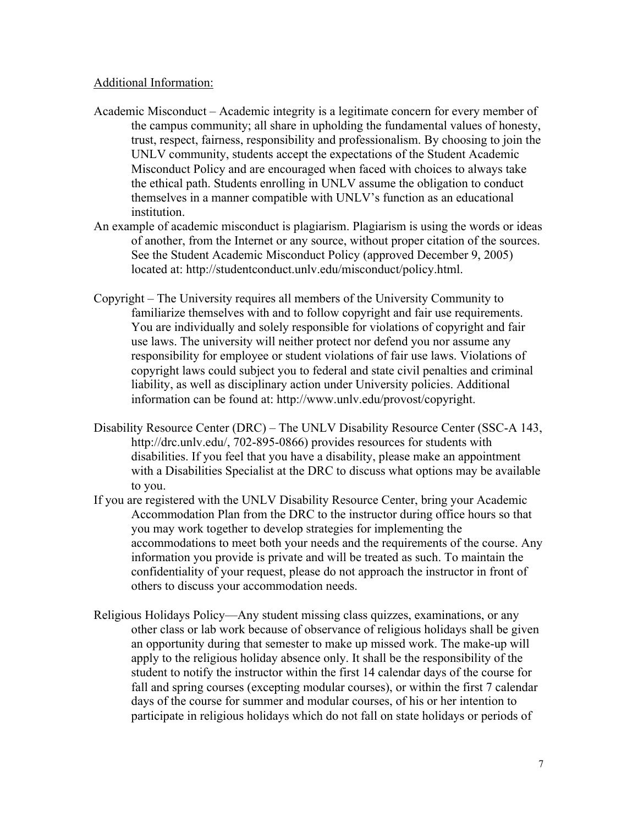# Additional Information:

- Academic Misconduct Academic integrity is a legitimate concern for every member of the campus community; all share in upholding the fundamental values of honesty, trust, respect, fairness, responsibility and professionalism. By choosing to join the UNLV community, students accept the expectations of the Student Academic Misconduct Policy and are encouraged when faced with choices to always take the ethical path. Students enrolling in UNLV assume the obligation to conduct themselves in a manner compatible with UNLV's function as an educational institution.
- An example of academic misconduct is plagiarism. Plagiarism is using the words or ideas of another, from the Internet or any source, without proper citation of the sources. See the Student Academic Misconduct Policy (approved December 9, 2005) located at: http://studentconduct.unlv.edu/misconduct/policy.html.
- Copyright The University requires all members of the University Community to familiarize themselves with and to follow copyright and fair use requirements. You are individually and solely responsible for violations of copyright and fair use laws. The university will neither protect nor defend you nor assume any responsibility for employee or student violations of fair use laws. Violations of copyright laws could subject you to federal and state civil penalties and criminal liability, as well as disciplinary action under University policies. Additional information can be found at: http://www.unlv.edu/provost/copyright.
- Disability Resource Center (DRC) The UNLV Disability Resource Center (SSC-A 143, http://drc.unlv.edu/, 702-895-0866) provides resources for students with disabilities. If you feel that you have a disability, please make an appointment with a Disabilities Specialist at the DRC to discuss what options may be available to you.
- If you are registered with the UNLV Disability Resource Center, bring your Academic Accommodation Plan from the DRC to the instructor during office hours so that you may work together to develop strategies for implementing the accommodations to meet both your needs and the requirements of the course. Any information you provide is private and will be treated as such. To maintain the confidentiality of your request, please do not approach the instructor in front of others to discuss your accommodation needs.
- Religious Holidays Policy—Any student missing class quizzes, examinations, or any other class or lab work because of observance of religious holidays shall be given an opportunity during that semester to make up missed work. The make-up will apply to the religious holiday absence only. It shall be the responsibility of the student to notify the instructor within the first 14 calendar days of the course for fall and spring courses (excepting modular courses), or within the first 7 calendar days of the course for summer and modular courses, of his or her intention to participate in religious holidays which do not fall on state holidays or periods of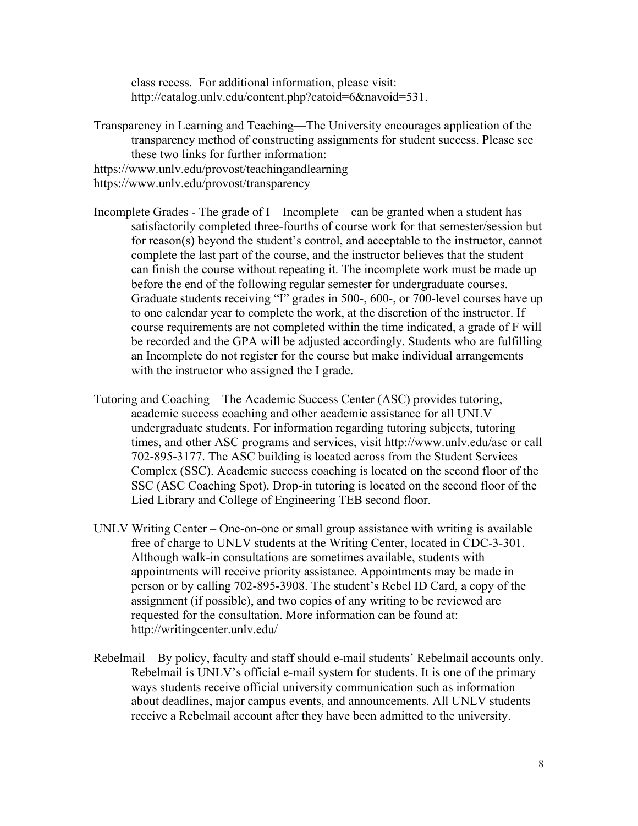class recess. For additional information, please visit: http://catalog.unly.edu/content.php?catoid=6&navoid=531.

- Transparency in Learning and Teaching—The University encourages application of the transparency method of constructing assignments for student success. Please see these two links for further information: https://www.unlv.edu/provost/teachingandlearning
- https://www.unlv.edu/provost/transparency
- Incomplete Grades The grade of I Incomplete can be granted when a student has satisfactorily completed three-fourths of course work for that semester/session but for reason(s) beyond the student's control, and acceptable to the instructor, cannot complete the last part of the course, and the instructor believes that the student can finish the course without repeating it. The incomplete work must be made up before the end of the following regular semester for undergraduate courses. Graduate students receiving "I" grades in 500-, 600-, or 700-level courses have up to one calendar year to complete the work, at the discretion of the instructor. If course requirements are not completed within the time indicated, a grade of F will be recorded and the GPA will be adjusted accordingly. Students who are fulfilling an Incomplete do not register for the course but make individual arrangements with the instructor who assigned the I grade.
- Tutoring and Coaching—The Academic Success Center (ASC) provides tutoring, academic success coaching and other academic assistance for all UNLV undergraduate students. For information regarding tutoring subjects, tutoring times, and other ASC programs and services, visit http://www.unlv.edu/asc or call 702-895-3177. The ASC building is located across from the Student Services Complex (SSC). Academic success coaching is located on the second floor of the SSC (ASC Coaching Spot). Drop-in tutoring is located on the second floor of the Lied Library and College of Engineering TEB second floor.
- UNLV Writing Center One-on-one or small group assistance with writing is available free of charge to UNLV students at the Writing Center, located in CDC-3-301. Although walk-in consultations are sometimes available, students with appointments will receive priority assistance. Appointments may be made in person or by calling 702-895-3908. The student's Rebel ID Card, a copy of the assignment (if possible), and two copies of any writing to be reviewed are requested for the consultation. More information can be found at: http://writingcenter.unlv.edu/
- Rebelmail By policy, faculty and staff should e-mail students' Rebelmail accounts only. Rebelmail is UNLV's official e-mail system for students. It is one of the primary ways students receive official university communication such as information about deadlines, major campus events, and announcements. All UNLV students receive a Rebelmail account after they have been admitted to the university.